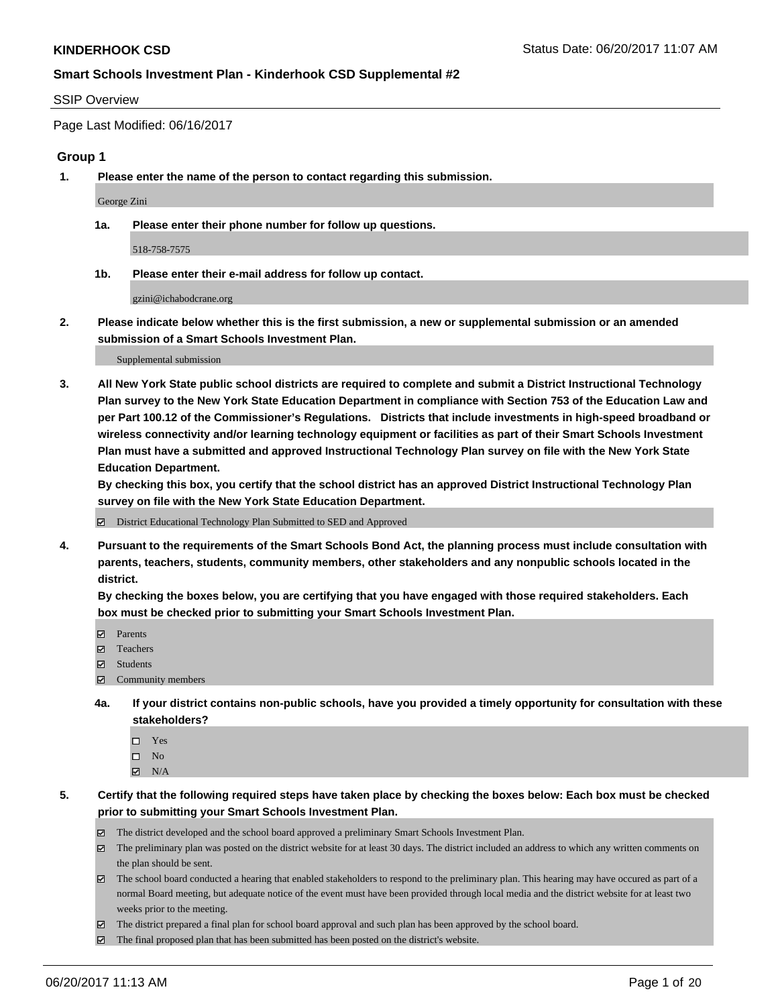#### SSIP Overview

Page Last Modified: 06/16/2017

### **Group 1**

**1. Please enter the name of the person to contact regarding this submission.**

George Zini

**1a. Please enter their phone number for follow up questions.**

518-758-7575

**1b. Please enter their e-mail address for follow up contact.**

gzini@ichabodcrane.org

**2. Please indicate below whether this is the first submission, a new or supplemental submission or an amended submission of a Smart Schools Investment Plan.**

Supplemental submission

**3. All New York State public school districts are required to complete and submit a District Instructional Technology Plan survey to the New York State Education Department in compliance with Section 753 of the Education Law and per Part 100.12 of the Commissioner's Regulations. Districts that include investments in high-speed broadband or wireless connectivity and/or learning technology equipment or facilities as part of their Smart Schools Investment Plan must have a submitted and approved Instructional Technology Plan survey on file with the New York State Education Department.** 

**By checking this box, you certify that the school district has an approved District Instructional Technology Plan survey on file with the New York State Education Department.**

District Educational Technology Plan Submitted to SED and Approved

**4. Pursuant to the requirements of the Smart Schools Bond Act, the planning process must include consultation with parents, teachers, students, community members, other stakeholders and any nonpublic schools located in the district.** 

**By checking the boxes below, you are certifying that you have engaged with those required stakeholders. Each box must be checked prior to submitting your Smart Schools Investment Plan.**

- **マ** Parents
- □ Teachers
- Students
- $\Xi$  Community members
- **4a. If your district contains non-public schools, have you provided a timely opportunity for consultation with these stakeholders?**
	- Yes
	- $\hfill \square$  No
	- $\boxtimes$  N/A
- **5. Certify that the following required steps have taken place by checking the boxes below: Each box must be checked prior to submitting your Smart Schools Investment Plan.**
	- The district developed and the school board approved a preliminary Smart Schools Investment Plan.
	- $\boxtimes$  The preliminary plan was posted on the district website for at least 30 days. The district included an address to which any written comments on the plan should be sent.
	- $\boxtimes$  The school board conducted a hearing that enabled stakeholders to respond to the preliminary plan. This hearing may have occured as part of a normal Board meeting, but adequate notice of the event must have been provided through local media and the district website for at least two weeks prior to the meeting.
	- The district prepared a final plan for school board approval and such plan has been approved by the school board.
	- $\boxtimes$  The final proposed plan that has been submitted has been posted on the district's website.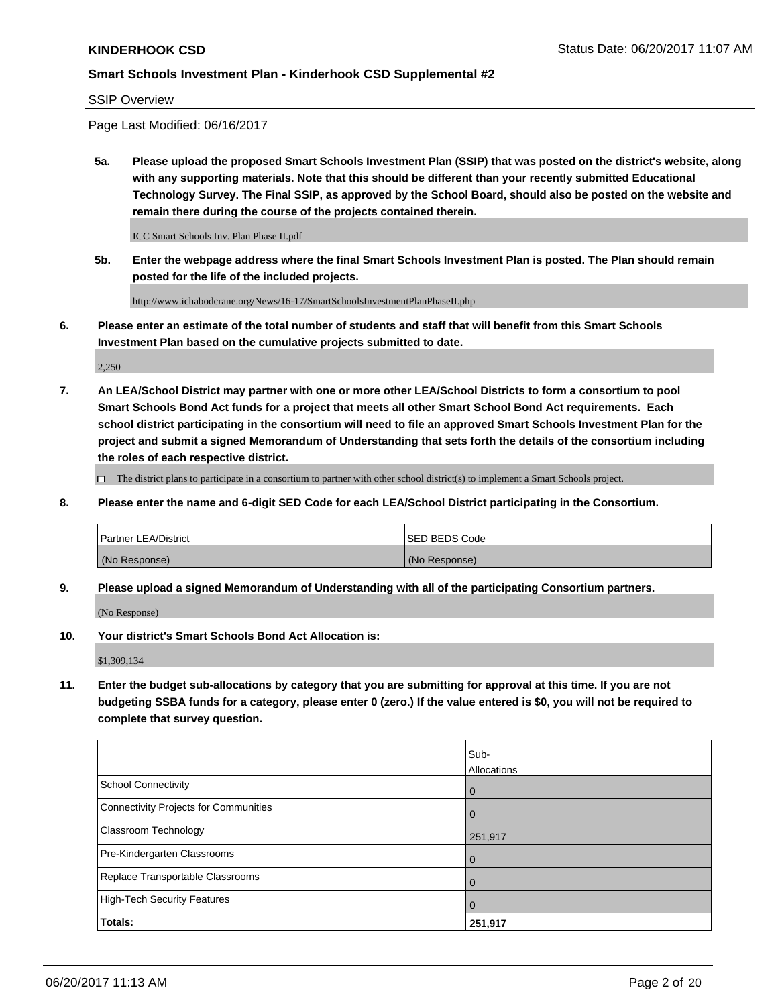#### SSIP Overview

Page Last Modified: 06/16/2017

**5a. Please upload the proposed Smart Schools Investment Plan (SSIP) that was posted on the district's website, along with any supporting materials. Note that this should be different than your recently submitted Educational Technology Survey. The Final SSIP, as approved by the School Board, should also be posted on the website and remain there during the course of the projects contained therein.**

ICC Smart Schools Inv. Plan Phase II.pdf

**5b. Enter the webpage address where the final Smart Schools Investment Plan is posted. The Plan should remain posted for the life of the included projects.**

http://www.ichabodcrane.org/News/16-17/SmartSchoolsInvestmentPlanPhaseII.php

**6. Please enter an estimate of the total number of students and staff that will benefit from this Smart Schools Investment Plan based on the cumulative projects submitted to date.**

2,250

**7. An LEA/School District may partner with one or more other LEA/School Districts to form a consortium to pool Smart Schools Bond Act funds for a project that meets all other Smart School Bond Act requirements. Each school district participating in the consortium will need to file an approved Smart Schools Investment Plan for the project and submit a signed Memorandum of Understanding that sets forth the details of the consortium including the roles of each respective district.**

 $\Box$  The district plans to participate in a consortium to partner with other school district(s) to implement a Smart Schools project.

**8. Please enter the name and 6-digit SED Code for each LEA/School District participating in the Consortium.**

| <b>Partner LEA/District</b> | <b>ISED BEDS Code</b> |
|-----------------------------|-----------------------|
| (No Response)               | (No Response)         |

**9. Please upload a signed Memorandum of Understanding with all of the participating Consortium partners.**

(No Response)

**10. Your district's Smart Schools Bond Act Allocation is:**

\$1,309,134

**11. Enter the budget sub-allocations by category that you are submitting for approval at this time. If you are not budgeting SSBA funds for a category, please enter 0 (zero.) If the value entered is \$0, you will not be required to complete that survey question.**

|                                       | Sub-        |
|---------------------------------------|-------------|
|                                       | Allocations |
| <b>School Connectivity</b>            | 0           |
| Connectivity Projects for Communities | 0           |
| <b>Classroom Technology</b>           | 251,917     |
| Pre-Kindergarten Classrooms           | 0           |
| Replace Transportable Classrooms      | 0           |
| <b>High-Tech Security Features</b>    | 0           |
| Totals:                               | 251,917     |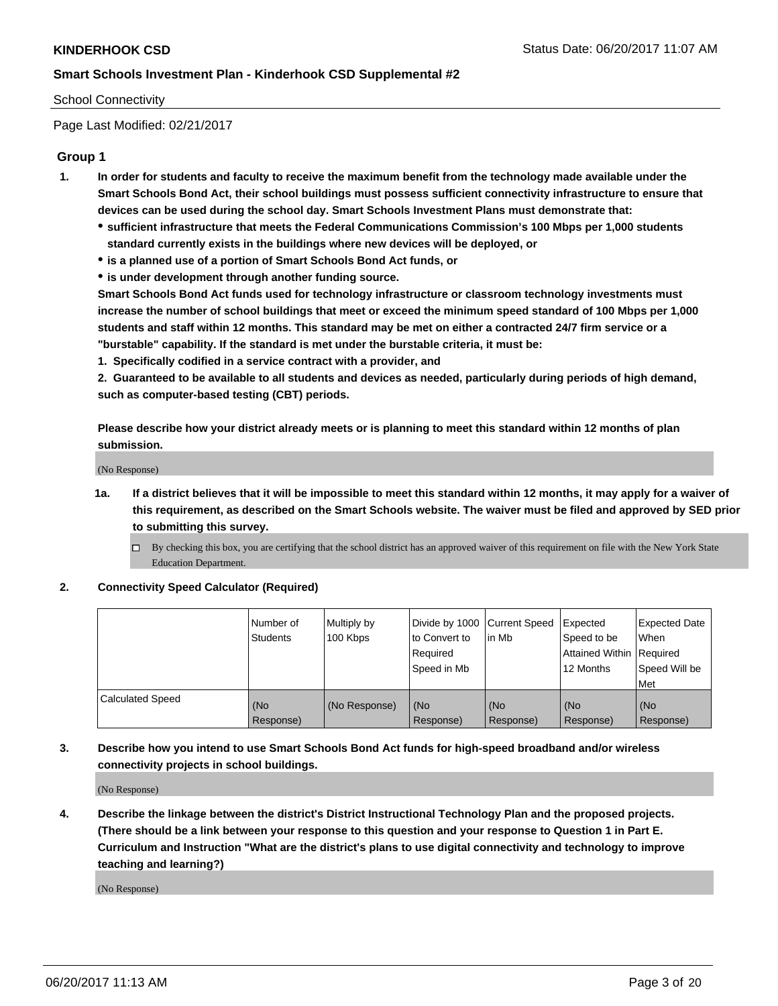### School Connectivity

Page Last Modified: 02/21/2017

### **Group 1**

- **1. In order for students and faculty to receive the maximum benefit from the technology made available under the Smart Schools Bond Act, their school buildings must possess sufficient connectivity infrastructure to ensure that devices can be used during the school day. Smart Schools Investment Plans must demonstrate that:**
	- **sufficient infrastructure that meets the Federal Communications Commission's 100 Mbps per 1,000 students standard currently exists in the buildings where new devices will be deployed, or**
	- **is a planned use of a portion of Smart Schools Bond Act funds, or**
	- **is under development through another funding source.**

**Smart Schools Bond Act funds used for technology infrastructure or classroom technology investments must increase the number of school buildings that meet or exceed the minimum speed standard of 100 Mbps per 1,000 students and staff within 12 months. This standard may be met on either a contracted 24/7 firm service or a "burstable" capability. If the standard is met under the burstable criteria, it must be:**

**1. Specifically codified in a service contract with a provider, and**

**2. Guaranteed to be available to all students and devices as needed, particularly during periods of high demand, such as computer-based testing (CBT) periods.**

**Please describe how your district already meets or is planning to meet this standard within 12 months of plan submission.**

(No Response)

- **1a. If a district believes that it will be impossible to meet this standard within 12 months, it may apply for a waiver of this requirement, as described on the Smart Schools website. The waiver must be filed and approved by SED prior to submitting this survey.**
	- By checking this box, you are certifying that the school district has an approved waiver of this requirement on file with the New York State Education Department.

#### **2. Connectivity Speed Calculator (Required)**

|                         | Number of<br><b>Students</b> | Multiply by<br>100 Kbps | Divide by 1000   Current Speed<br>to Convert to<br>Required<br>Speed in Mb | lin Mb           | Expected<br>Speed to be<br>Attained Within Required<br>12 Months | <b>Expected Date</b><br>When<br>Speed Will be<br>Met |
|-------------------------|------------------------------|-------------------------|----------------------------------------------------------------------------|------------------|------------------------------------------------------------------|------------------------------------------------------|
| <b>Calculated Speed</b> | (No<br>Response)             | (No Response)           | (No<br>Response)                                                           | (No<br>Response) | (No<br>Response)                                                 | (No<br>Response)                                     |

### **3. Describe how you intend to use Smart Schools Bond Act funds for high-speed broadband and/or wireless connectivity projects in school buildings.**

(No Response)

**4. Describe the linkage between the district's District Instructional Technology Plan and the proposed projects. (There should be a link between your response to this question and your response to Question 1 in Part E. Curriculum and Instruction "What are the district's plans to use digital connectivity and technology to improve teaching and learning?)**

(No Response)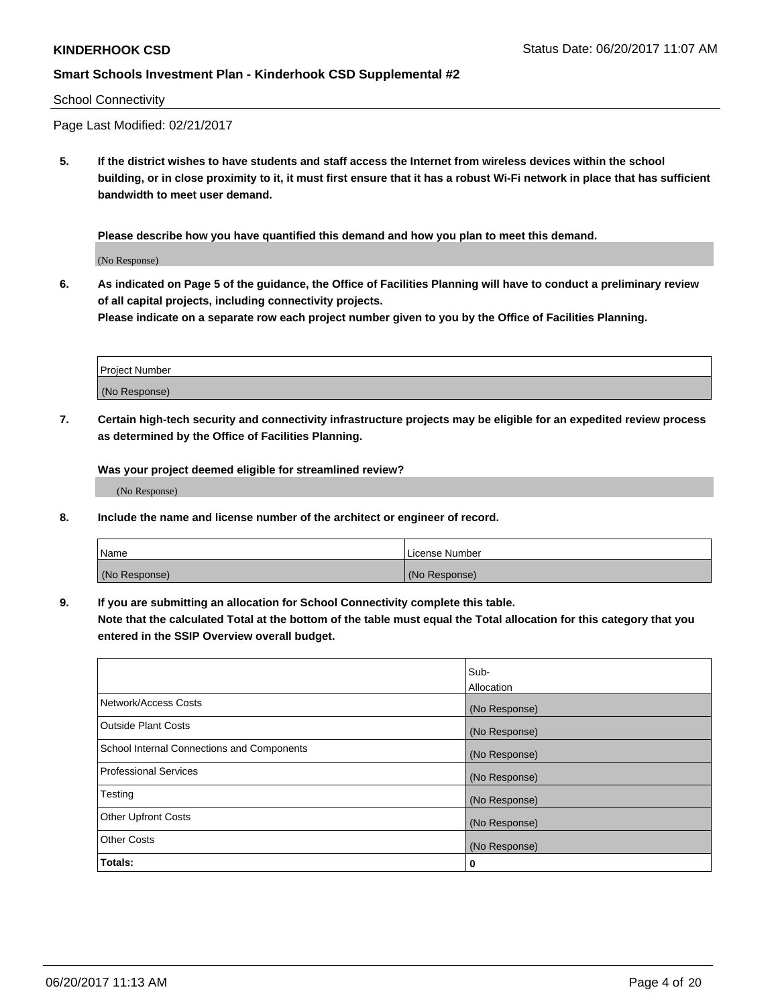### School Connectivity

Page Last Modified: 02/21/2017

**5. If the district wishes to have students and staff access the Internet from wireless devices within the school building, or in close proximity to it, it must first ensure that it has a robust Wi-Fi network in place that has sufficient bandwidth to meet user demand.**

**Please describe how you have quantified this demand and how you plan to meet this demand.**

(No Response)

**6. As indicated on Page 5 of the guidance, the Office of Facilities Planning will have to conduct a preliminary review of all capital projects, including connectivity projects.**

**Please indicate on a separate row each project number given to you by the Office of Facilities Planning.**

| Project Number |  |
|----------------|--|
|                |  |
| (No Response)  |  |

**7. Certain high-tech security and connectivity infrastructure projects may be eligible for an expedited review process as determined by the Office of Facilities Planning.**

**Was your project deemed eligible for streamlined review?**

(No Response)

**8. Include the name and license number of the architect or engineer of record.**

| Name          | License Number |
|---------------|----------------|
| (No Response) | (No Response)  |

**9. If you are submitting an allocation for School Connectivity complete this table.**

**Note that the calculated Total at the bottom of the table must equal the Total allocation for this category that you entered in the SSIP Overview overall budget.** 

|                                            | Sub-              |
|--------------------------------------------|-------------------|
|                                            | <b>Allocation</b> |
| Network/Access Costs                       | (No Response)     |
| <b>Outside Plant Costs</b>                 | (No Response)     |
| School Internal Connections and Components | (No Response)     |
| Professional Services                      | (No Response)     |
| Testing                                    | (No Response)     |
| <b>Other Upfront Costs</b>                 | (No Response)     |
| <b>Other Costs</b>                         | (No Response)     |
| Totals:                                    | 0                 |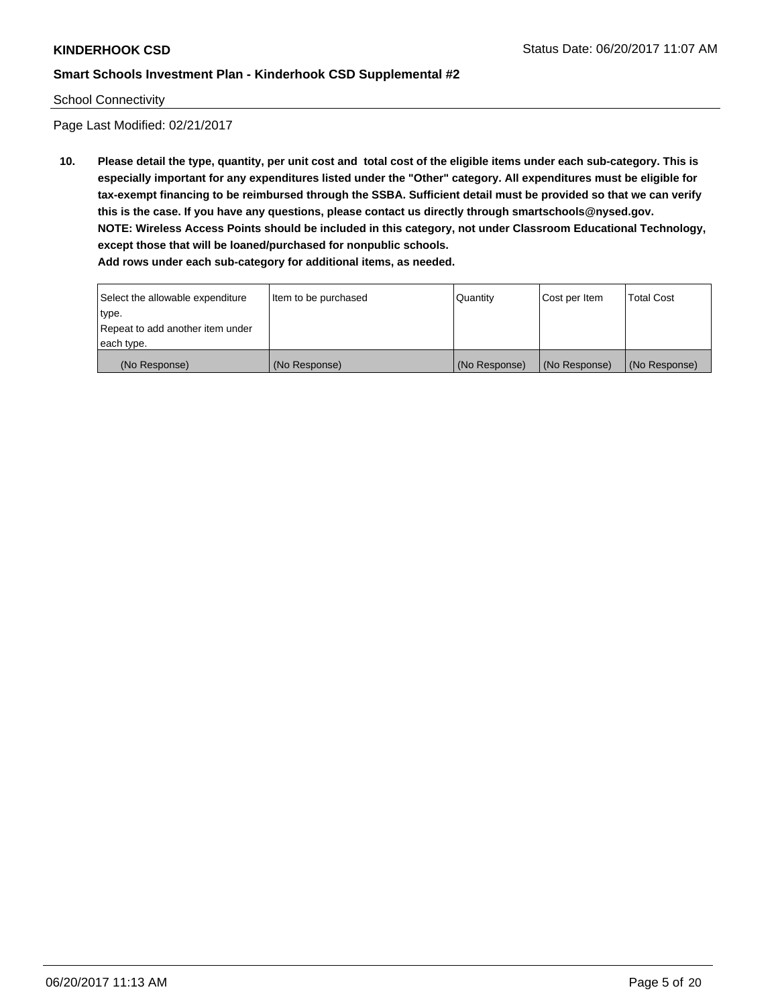### School Connectivity

Page Last Modified: 02/21/2017

**10. Please detail the type, quantity, per unit cost and total cost of the eligible items under each sub-category. This is especially important for any expenditures listed under the "Other" category. All expenditures must be eligible for tax-exempt financing to be reimbursed through the SSBA. Sufficient detail must be provided so that we can verify this is the case. If you have any questions, please contact us directly through smartschools@nysed.gov. NOTE: Wireless Access Points should be included in this category, not under Classroom Educational Technology, except those that will be loaned/purchased for nonpublic schools. Add rows under each sub-category for additional items, as needed.**

Select the allowable expenditure type. Repeat to add another item under each type. Item to be purchased  $\sqrt{$  Quantity  $\sqrt{}$  Cost per Item  $\sqrt{}$  Total Cost (No Response) (No Response) (No Response) (No Response) (No Response)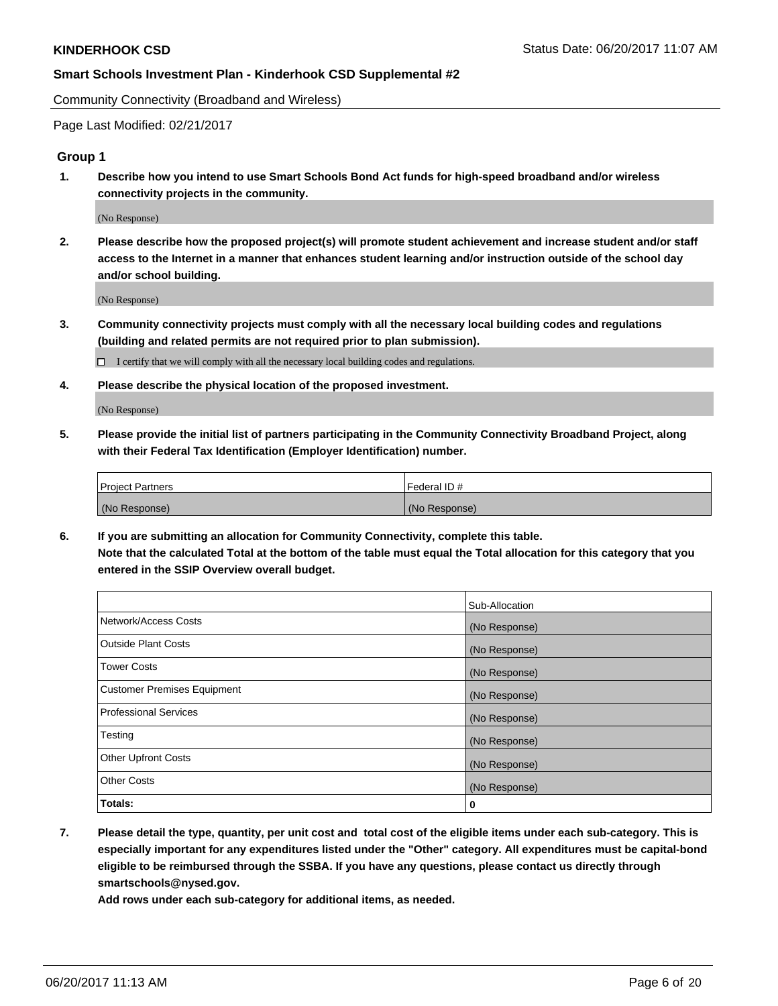Community Connectivity (Broadband and Wireless)

Page Last Modified: 02/21/2017

### **Group 1**

**1. Describe how you intend to use Smart Schools Bond Act funds for high-speed broadband and/or wireless connectivity projects in the community.**

(No Response)

**2. Please describe how the proposed project(s) will promote student achievement and increase student and/or staff access to the Internet in a manner that enhances student learning and/or instruction outside of the school day and/or school building.**

(No Response)

**3. Community connectivity projects must comply with all the necessary local building codes and regulations (building and related permits are not required prior to plan submission).**

 $\Box$  I certify that we will comply with all the necessary local building codes and regulations.

**4. Please describe the physical location of the proposed investment.**

(No Response)

**5. Please provide the initial list of partners participating in the Community Connectivity Broadband Project, along with their Federal Tax Identification (Employer Identification) number.**

| <b>Project Partners</b> | l Federal ID # |
|-------------------------|----------------|
| (No Response)           | (No Response)  |

**6. If you are submitting an allocation for Community Connectivity, complete this table. Note that the calculated Total at the bottom of the table must equal the Total allocation for this category that you entered in the SSIP Overview overall budget.**

|                                    | Sub-Allocation |
|------------------------------------|----------------|
| Network/Access Costs               | (No Response)  |
| Outside Plant Costs                | (No Response)  |
| <b>Tower Costs</b>                 | (No Response)  |
| <b>Customer Premises Equipment</b> | (No Response)  |
| <b>Professional Services</b>       | (No Response)  |
| Testing                            | (No Response)  |
| <b>Other Upfront Costs</b>         | (No Response)  |
| <b>Other Costs</b>                 | (No Response)  |
| Totals:                            | 0              |

**7. Please detail the type, quantity, per unit cost and total cost of the eligible items under each sub-category. This is especially important for any expenditures listed under the "Other" category. All expenditures must be capital-bond eligible to be reimbursed through the SSBA. If you have any questions, please contact us directly through smartschools@nysed.gov.**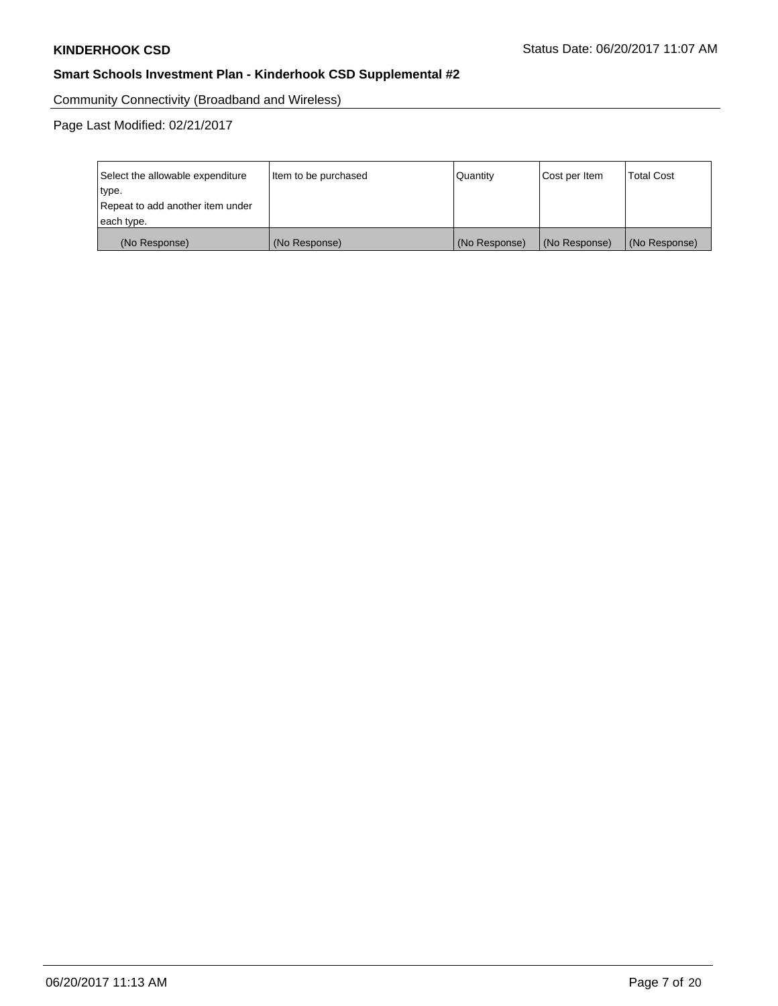Community Connectivity (Broadband and Wireless)

| Select the allowable expenditure<br>type.<br>Repeat to add another item under | Item to be purchased | Quantity      | Cost per Item | <b>Total Cost</b> |  |
|-------------------------------------------------------------------------------|----------------------|---------------|---------------|-------------------|--|
| each type.                                                                    |                      |               |               |                   |  |
| (No Response)                                                                 | (No Response)        | (No Response) | (No Response) | (No Response)     |  |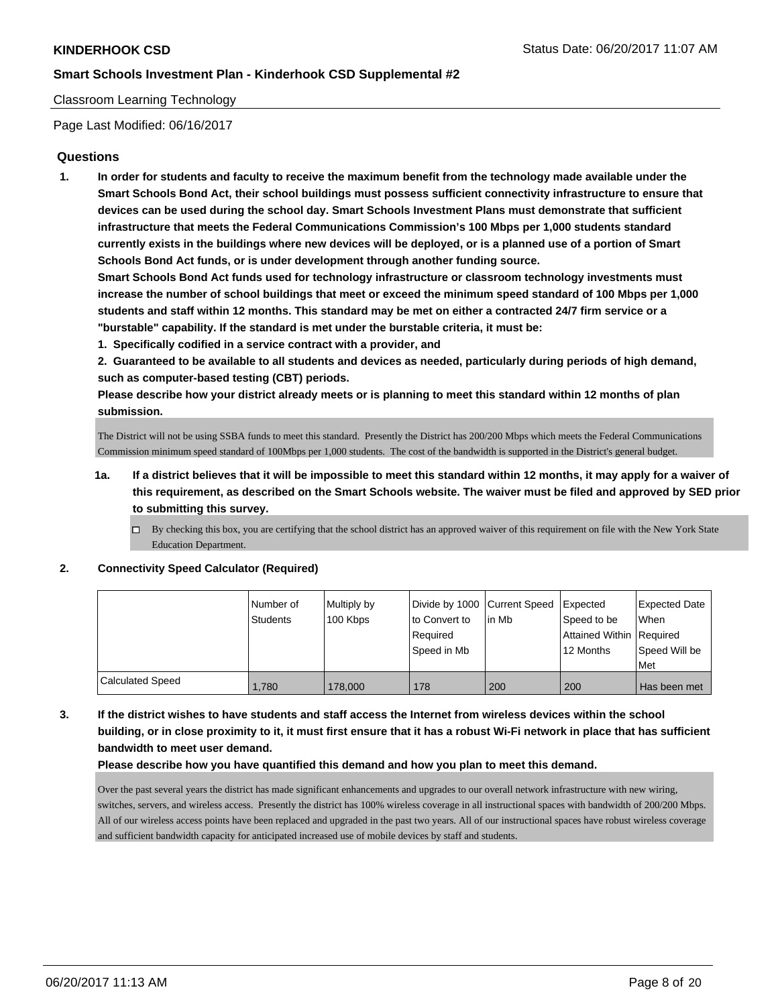### Classroom Learning Technology

Page Last Modified: 06/16/2017

### **Questions**

**1. In order for students and faculty to receive the maximum benefit from the technology made available under the Smart Schools Bond Act, their school buildings must possess sufficient connectivity infrastructure to ensure that devices can be used during the school day. Smart Schools Investment Plans must demonstrate that sufficient infrastructure that meets the Federal Communications Commission's 100 Mbps per 1,000 students standard currently exists in the buildings where new devices will be deployed, or is a planned use of a portion of Smart Schools Bond Act funds, or is under development through another funding source.**

**Smart Schools Bond Act funds used for technology infrastructure or classroom technology investments must increase the number of school buildings that meet or exceed the minimum speed standard of 100 Mbps per 1,000 students and staff within 12 months. This standard may be met on either a contracted 24/7 firm service or a "burstable" capability. If the standard is met under the burstable criteria, it must be:**

**1. Specifically codified in a service contract with a provider, and**

**2. Guaranteed to be available to all students and devices as needed, particularly during periods of high demand, such as computer-based testing (CBT) periods.**

**Please describe how your district already meets or is planning to meet this standard within 12 months of plan submission.**

The District will not be using SSBA funds to meet this standard. Presently the District has 200/200 Mbps which meets the Federal Communications Commission minimum speed standard of 100Mbps per 1,000 students. The cost of the bandwidth is supported in the District's general budget.

- **1a. If a district believes that it will be impossible to meet this standard within 12 months, it may apply for a waiver of this requirement, as described on the Smart Schools website. The waiver must be filed and approved by SED prior to submitting this survey.**
	- $\Box$  By checking this box, you are certifying that the school district has an approved waiver of this requirement on file with the New York State Education Department.

#### **2. Connectivity Speed Calculator (Required)**

|                  | l Number of<br>Students | Multiply by<br>100 Kbps | to Convert to           | Divide by 1000 Current Speed Expected<br>l in Mb | Speed to be                           | Expected Date<br>When |
|------------------|-------------------------|-------------------------|-------------------------|--------------------------------------------------|---------------------------------------|-----------------------|
|                  |                         |                         | Reauired<br>Speed in Mb |                                                  | Attained Within Required<br>12 Months | Speed Will be         |
|                  |                         |                         |                         |                                                  |                                       | Met                   |
| Calculated Speed | 1.780                   | 178,000                 | 178                     | 200                                              | 200                                   | Has been met          |

**3. If the district wishes to have students and staff access the Internet from wireless devices within the school building, or in close proximity to it, it must first ensure that it has a robust Wi-Fi network in place that has sufficient bandwidth to meet user demand.**

#### **Please describe how you have quantified this demand and how you plan to meet this demand.**

Over the past several years the district has made significant enhancements and upgrades to our overall network infrastructure with new wiring, switches, servers, and wireless access. Presently the district has 100% wireless coverage in all instructional spaces with bandwidth of 200/200 Mbps. All of our wireless access points have been replaced and upgraded in the past two years. All of our instructional spaces have robust wireless coverage and sufficient bandwidth capacity for anticipated increased use of mobile devices by staff and students.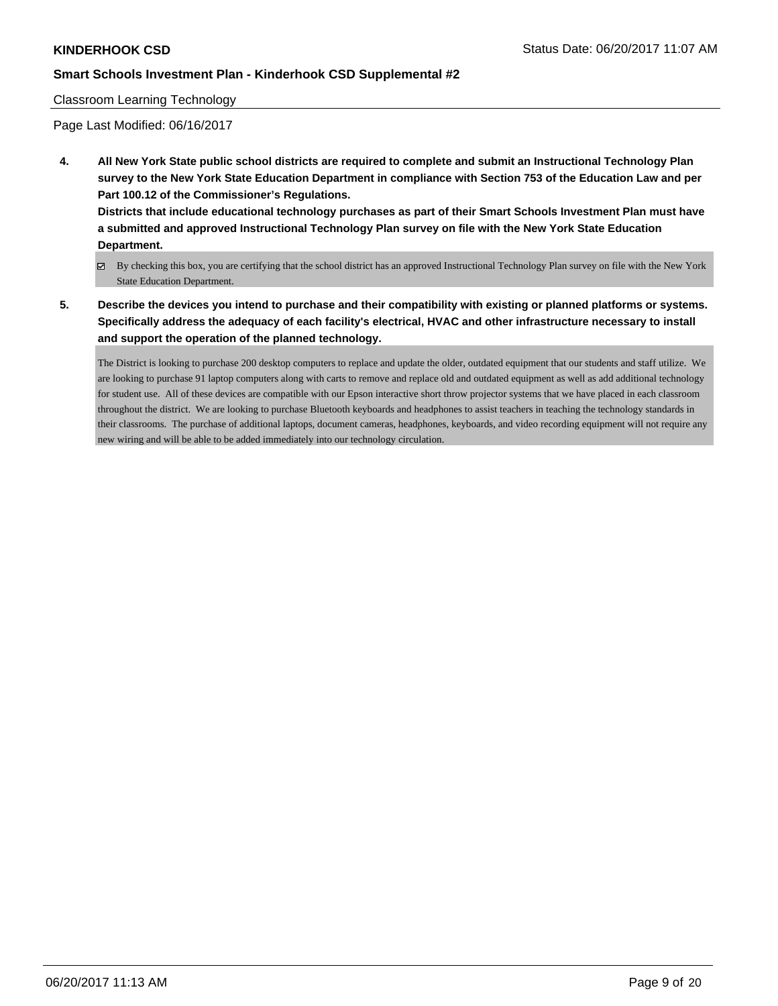### Classroom Learning Technology

Page Last Modified: 06/16/2017

**4. All New York State public school districts are required to complete and submit an Instructional Technology Plan survey to the New York State Education Department in compliance with Section 753 of the Education Law and per Part 100.12 of the Commissioner's Regulations.**

**Districts that include educational technology purchases as part of their Smart Schools Investment Plan must have a submitted and approved Instructional Technology Plan survey on file with the New York State Education Department.**

- By checking this box, you are certifying that the school district has an approved Instructional Technology Plan survey on file with the New York State Education Department.
- **5. Describe the devices you intend to purchase and their compatibility with existing or planned platforms or systems. Specifically address the adequacy of each facility's electrical, HVAC and other infrastructure necessary to install and support the operation of the planned technology.**

The District is looking to purchase 200 desktop computers to replace and update the older, outdated equipment that our students and staff utilize. We are looking to purchase 91 laptop computers along with carts to remove and replace old and outdated equipment as well as add additional technology for student use. All of these devices are compatible with our Epson interactive short throw projector systems that we have placed in each classroom throughout the district. We are looking to purchase Bluetooth keyboards and headphones to assist teachers in teaching the technology standards in their classrooms. The purchase of additional laptops, document cameras, headphones, keyboards, and video recording equipment will not require any new wiring and will be able to be added immediately into our technology circulation.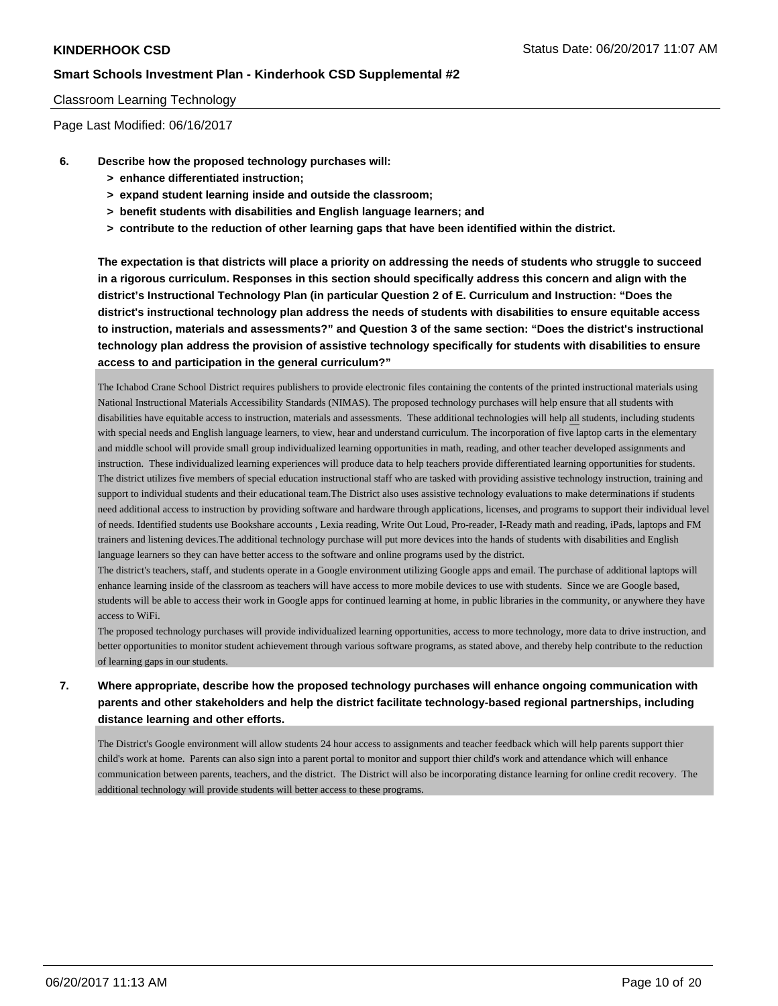### Classroom Learning Technology

Page Last Modified: 06/16/2017

- **6. Describe how the proposed technology purchases will:**
	- **> enhance differentiated instruction;**
	- **> expand student learning inside and outside the classroom;**
	- **> benefit students with disabilities and English language learners; and**
	- **> contribute to the reduction of other learning gaps that have been identified within the district.**

**The expectation is that districts will place a priority on addressing the needs of students who struggle to succeed in a rigorous curriculum. Responses in this section should specifically address this concern and align with the district's Instructional Technology Plan (in particular Question 2 of E. Curriculum and Instruction: "Does the district's instructional technology plan address the needs of students with disabilities to ensure equitable access to instruction, materials and assessments?" and Question 3 of the same section: "Does the district's instructional technology plan address the provision of assistive technology specifically for students with disabilities to ensure access to and participation in the general curriculum?"**

The Ichabod Crane School District requires publishers to provide electronic files containing the contents of the printed instructional materials using National Instructional Materials Accessibility Standards (NIMAS). The proposed technology purchases will help ensure that all students with disabilities have equitable access to instruction, materials and assessments. These additional technologies will help all students, including students with special needs and English language learners, to view, hear and understand curriculum. The incorporation of five laptop carts in the elementary and middle school will provide small group individualized learning opportunities in math, reading, and other teacher developed assignments and instruction. These individualized learning experiences will produce data to help teachers provide differentiated learning opportunities for students. The district utilizes five members of special education instructional staff who are tasked with providing assistive technology instruction, training and support to individual students and their educational team.The District also uses assistive technology evaluations to make determinations if students need additional access to instruction by providing software and hardware through applications, licenses, and programs to support their individual level of needs. Identified students use Bookshare accounts , Lexia reading, Write Out Loud, Pro-reader, I-Ready math and reading, iPads, laptops and FM trainers and listening devices.The additional technology purchase will put more devices into the hands of students with disabilities and English language learners so they can have better access to the software and online programs used by the district.

The district's teachers, staff, and students operate in a Google environment utilizing Google apps and email. The purchase of additional laptops will enhance learning inside of the classroom as teachers will have access to more mobile devices to use with students. Since we are Google based, students will be able to access their work in Google apps for continued learning at home, in public libraries in the community, or anywhere they have access to WiFi.

The proposed technology purchases will provide individualized learning opportunities, access to more technology, more data to drive instruction, and better opportunities to monitor student achievement through various software programs, as stated above, and thereby help contribute to the reduction of learning gaps in our students.

# **7. Where appropriate, describe how the proposed technology purchases will enhance ongoing communication with parents and other stakeholders and help the district facilitate technology-based regional partnerships, including distance learning and other efforts.**

The District's Google environment will allow students 24 hour access to assignments and teacher feedback which will help parents support thier child's work at home. Parents can also sign into a parent portal to monitor and support thier child's work and attendance which will enhance communication between parents, teachers, and the district. The District will also be incorporating distance learning for online credit recovery. The additional technology will provide students will better access to these programs.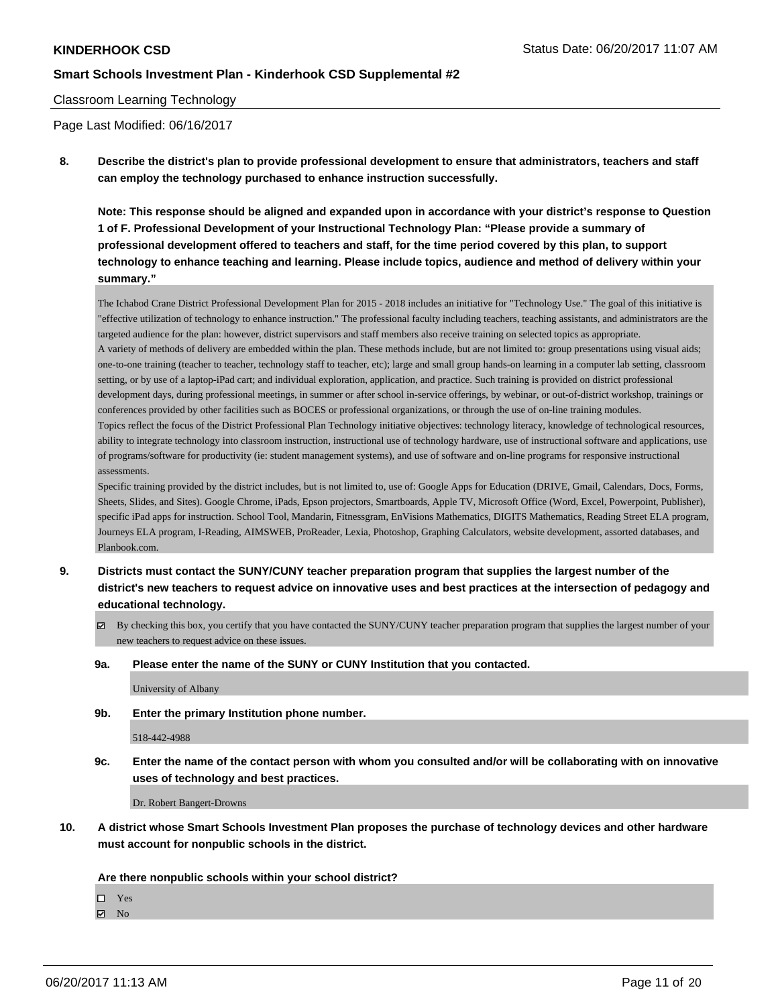### Classroom Learning Technology

Page Last Modified: 06/16/2017

**8. Describe the district's plan to provide professional development to ensure that administrators, teachers and staff can employ the technology purchased to enhance instruction successfully.**

**Note: This response should be aligned and expanded upon in accordance with your district's response to Question 1 of F. Professional Development of your Instructional Technology Plan: "Please provide a summary of professional development offered to teachers and staff, for the time period covered by this plan, to support technology to enhance teaching and learning. Please include topics, audience and method of delivery within your summary."**

The Ichabod Crane District Professional Development Plan for 2015 - 2018 includes an initiative for "Technology Use." The goal of this initiative is "effective utilization of technology to enhance instruction." The professional faculty including teachers, teaching assistants, and administrators are the targeted audience for the plan: however, district supervisors and staff members also receive training on selected topics as appropriate. A variety of methods of delivery are embedded within the plan. These methods include, but are not limited to: group presentations using visual aids; one-to-one training (teacher to teacher, technology staff to teacher, etc); large and small group hands-on learning in a computer lab setting, classroom setting, or by use of a laptop-iPad cart; and individual exploration, application, and practice. Such training is provided on district professional development days, during professional meetings, in summer or after school in-service offerings, by webinar, or out-of-district workshop, trainings or conferences provided by other facilities such as BOCES or professional organizations, or through the use of on-line training modules. Topics reflect the focus of the District Professional Plan Technology initiative objectives: technology literacy, knowledge of technological resources, ability to integrate technology into classroom instruction, instructional use of technology hardware, use of instructional software and applications, use of programs/software for productivity (ie: student management systems), and use of software and on-line programs for responsive instructional assessments.

Specific training provided by the district includes, but is not limited to, use of: Google Apps for Education (DRIVE, Gmail, Calendars, Docs, Forms, Sheets, Slides, and Sites). Google Chrome, iPads, Epson projectors, Smartboards, Apple TV, Microsoft Office (Word, Excel, Powerpoint, Publisher), specific iPad apps for instruction. School Tool, Mandarin, Fitnessgram, EnVisions Mathematics, DIGITS Mathematics, Reading Street ELA program, Journeys ELA program, I-Reading, AIMSWEB, ProReader, Lexia, Photoshop, Graphing Calculators, website development, assorted databases, and Planbook.com.

- **9. Districts must contact the SUNY/CUNY teacher preparation program that supplies the largest number of the district's new teachers to request advice on innovative uses and best practices at the intersection of pedagogy and educational technology.**
	- $\boxtimes$  By checking this box, you certify that you have contacted the SUNY/CUNY teacher preparation program that supplies the largest number of your new teachers to request advice on these issues.
	- **9a. Please enter the name of the SUNY or CUNY Institution that you contacted.**

University of Albany

**9b. Enter the primary Institution phone number.**

518-442-4988

**9c. Enter the name of the contact person with whom you consulted and/or will be collaborating with on innovative uses of technology and best practices.**

Dr. Robert Bangert-Drowns

**10. A district whose Smart Schools Investment Plan proposes the purchase of technology devices and other hardware must account for nonpublic schools in the district.**

#### **Are there nonpublic schools within your school district?**

Yes

 $\boxtimes$  No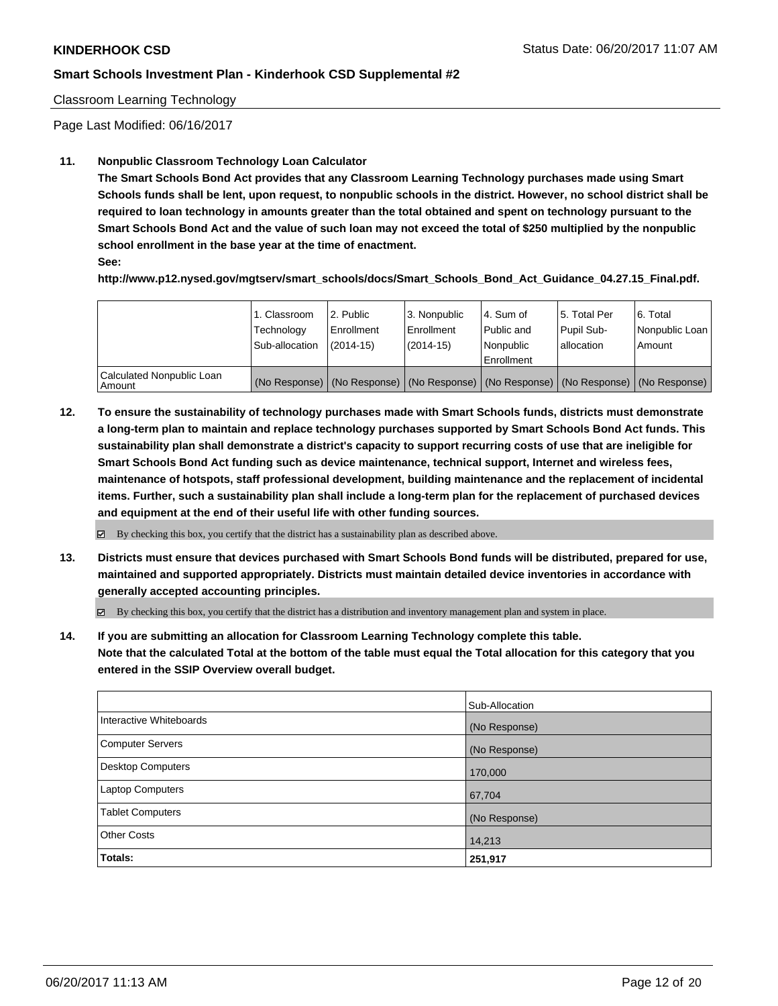### Classroom Learning Technology

Page Last Modified: 06/16/2017

### **11. Nonpublic Classroom Technology Loan Calculator**

**The Smart Schools Bond Act provides that any Classroom Learning Technology purchases made using Smart Schools funds shall be lent, upon request, to nonpublic schools in the district. However, no school district shall be required to loan technology in amounts greater than the total obtained and spent on technology pursuant to the Smart Schools Bond Act and the value of such loan may not exceed the total of \$250 multiplied by the nonpublic school enrollment in the base year at the time of enactment.**

**See:**

**http://www.p12.nysed.gov/mgtserv/smart\_schools/docs/Smart\_Schools\_Bond\_Act\_Guidance\_04.27.15\_Final.pdf.**

|                                       | 1. Classroom<br>Technology<br>Sub-allocation | 2. Public<br>l Enrollment<br>$(2014-15)$ | 3. Nonpublic<br>Enrollment<br>$(2014-15)$ | l 4. Sum of<br>Public and<br>l Nonpublic<br>l Enrollment | 15. Total Per<br>Pupil Sub-<br>lallocation | 6. Total<br>Nonpublic Loan<br>Amount                                                          |
|---------------------------------------|----------------------------------------------|------------------------------------------|-------------------------------------------|----------------------------------------------------------|--------------------------------------------|-----------------------------------------------------------------------------------------------|
| Calculated Nonpublic Loan<br>l Amount |                                              |                                          |                                           |                                                          |                                            | (No Response)   (No Response)   (No Response)   (No Response)   (No Response)   (No Response) |

**12. To ensure the sustainability of technology purchases made with Smart Schools funds, districts must demonstrate a long-term plan to maintain and replace technology purchases supported by Smart Schools Bond Act funds. This sustainability plan shall demonstrate a district's capacity to support recurring costs of use that are ineligible for Smart Schools Bond Act funding such as device maintenance, technical support, Internet and wireless fees, maintenance of hotspots, staff professional development, building maintenance and the replacement of incidental items. Further, such a sustainability plan shall include a long-term plan for the replacement of purchased devices and equipment at the end of their useful life with other funding sources.**

 $\boxtimes$  By checking this box, you certify that the district has a sustainability plan as described above.

**13. Districts must ensure that devices purchased with Smart Schools Bond funds will be distributed, prepared for use, maintained and supported appropriately. Districts must maintain detailed device inventories in accordance with generally accepted accounting principles.**

By checking this box, you certify that the district has a distribution and inventory management plan and system in place.

**14. If you are submitting an allocation for Classroom Learning Technology complete this table. Note that the calculated Total at the bottom of the table must equal the Total allocation for this category that you entered in the SSIP Overview overall budget.**

|                         | Sub-Allocation |
|-------------------------|----------------|
| Interactive Whiteboards | (No Response)  |
| Computer Servers        | (No Response)  |
| Desktop Computers       | 170,000        |
| Laptop Computers        | 67,704         |
| <b>Tablet Computers</b> | (No Response)  |
| <b>Other Costs</b>      | 14,213         |
| Totals:                 | 251,917        |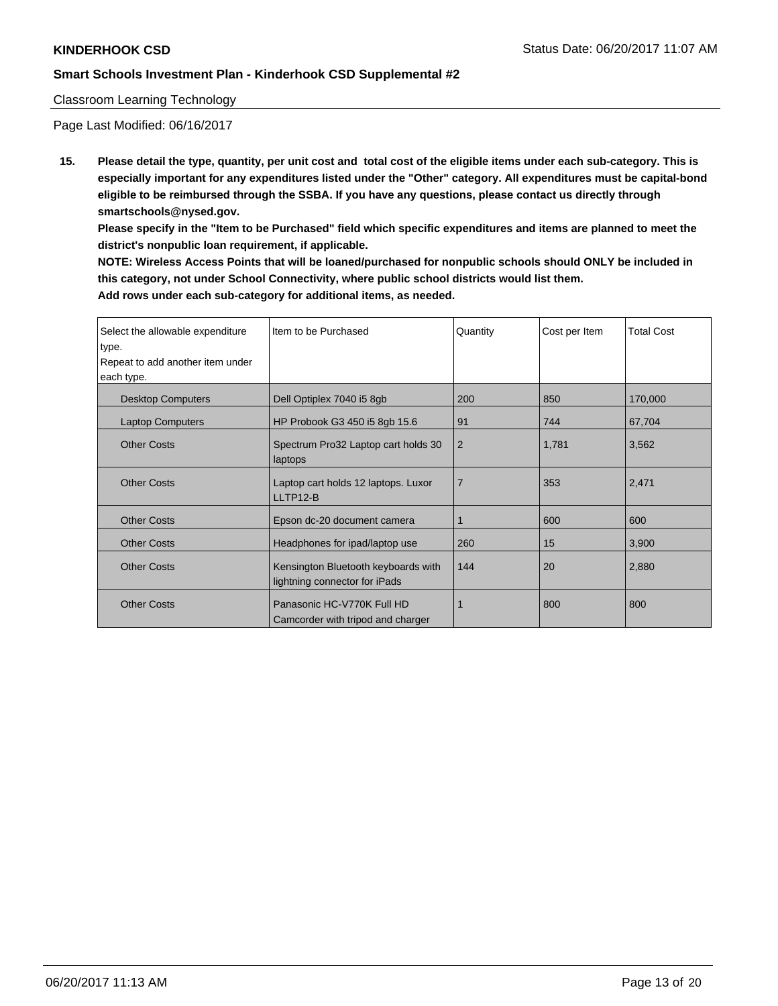### Classroom Learning Technology

Page Last Modified: 06/16/2017

**15. Please detail the type, quantity, per unit cost and total cost of the eligible items under each sub-category. This is especially important for any expenditures listed under the "Other" category. All expenditures must be capital-bond eligible to be reimbursed through the SSBA. If you have any questions, please contact us directly through smartschools@nysed.gov.**

**Please specify in the "Item to be Purchased" field which specific expenditures and items are planned to meet the district's nonpublic loan requirement, if applicable.**

**NOTE: Wireless Access Points that will be loaned/purchased for nonpublic schools should ONLY be included in this category, not under School Connectivity, where public school districts would list them. Add rows under each sub-category for additional items, as needed.**

| Select the allowable expenditure | Iltem to be Purchased                                                | Quantity       | Cost per Item | <b>Total Cost</b> |
|----------------------------------|----------------------------------------------------------------------|----------------|---------------|-------------------|
| type.                            |                                                                      |                |               |                   |
| Repeat to add another item under |                                                                      |                |               |                   |
| each type.                       |                                                                      |                |               |                   |
| <b>Desktop Computers</b>         | Dell Optiplex 7040 i5 8gb                                            | 200            | 850           | 170,000           |
| <b>Laptop Computers</b>          | HP Probook G3 450 i5 8gb 15.6                                        | 91             | 744           | 67,704            |
| <b>Other Costs</b>               | Spectrum Pro32 Laptop cart holds 30<br>laptops                       | $\overline{2}$ | 1,781         | 3,562             |
| <b>Other Costs</b>               | Laptop cart holds 12 laptops. Luxor<br>LLTP12-B                      | $\overline{7}$ | 353           | 2,471             |
| <b>Other Costs</b>               | Epson dc-20 document camera                                          |                | 600           | 600               |
| <b>Other Costs</b>               | Headphones for ipad/laptop use                                       | 260            | 15            | 3,900             |
| <b>Other Costs</b>               | Kensington Bluetooth keyboards with<br>lightning connector for iPads | 144            | 20            | 2,880             |
| <b>Other Costs</b>               | Panasonic HC-V770K Full HD<br>Camcorder with tripod and charger      |                | 800           | 800               |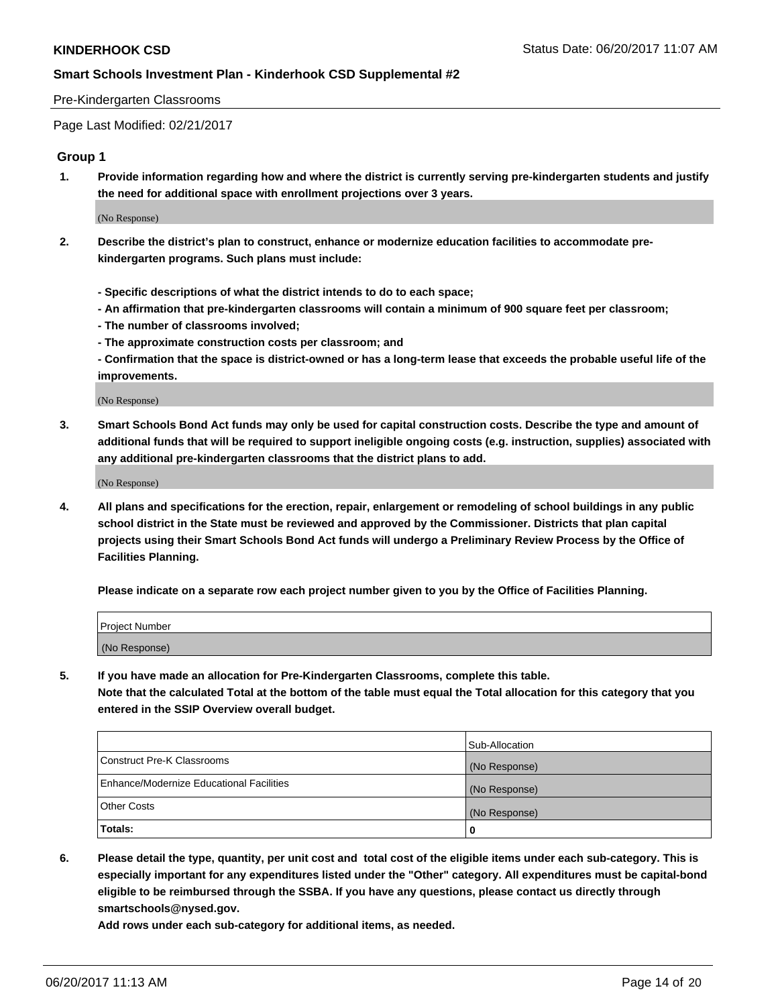#### Pre-Kindergarten Classrooms

Page Last Modified: 02/21/2017

### **Group 1**

**1. Provide information regarding how and where the district is currently serving pre-kindergarten students and justify the need for additional space with enrollment projections over 3 years.**

(No Response)

- **2. Describe the district's plan to construct, enhance or modernize education facilities to accommodate prekindergarten programs. Such plans must include:**
	- **Specific descriptions of what the district intends to do to each space;**
	- **An affirmation that pre-kindergarten classrooms will contain a minimum of 900 square feet per classroom;**
	- **The number of classrooms involved;**
	- **The approximate construction costs per classroom; and**
	- **Confirmation that the space is district-owned or has a long-term lease that exceeds the probable useful life of the improvements.**

(No Response)

**3. Smart Schools Bond Act funds may only be used for capital construction costs. Describe the type and amount of additional funds that will be required to support ineligible ongoing costs (e.g. instruction, supplies) associated with any additional pre-kindergarten classrooms that the district plans to add.**

(No Response)

**4. All plans and specifications for the erection, repair, enlargement or remodeling of school buildings in any public school district in the State must be reviewed and approved by the Commissioner. Districts that plan capital projects using their Smart Schools Bond Act funds will undergo a Preliminary Review Process by the Office of Facilities Planning.**

**Please indicate on a separate row each project number given to you by the Office of Facilities Planning.**

| Project Number |  |
|----------------|--|
| (No Response)  |  |

**5. If you have made an allocation for Pre-Kindergarten Classrooms, complete this table. Note that the calculated Total at the bottom of the table must equal the Total allocation for this category that you entered in the SSIP Overview overall budget.**

| Totals:                                  | 0              |
|------------------------------------------|----------------|
| Other Costs                              | (No Response)  |
| Enhance/Modernize Educational Facilities | (No Response)  |
| Construct Pre-K Classrooms               | (No Response)  |
|                                          | Sub-Allocation |

**6. Please detail the type, quantity, per unit cost and total cost of the eligible items under each sub-category. This is especially important for any expenditures listed under the "Other" category. All expenditures must be capital-bond eligible to be reimbursed through the SSBA. If you have any questions, please contact us directly through smartschools@nysed.gov.**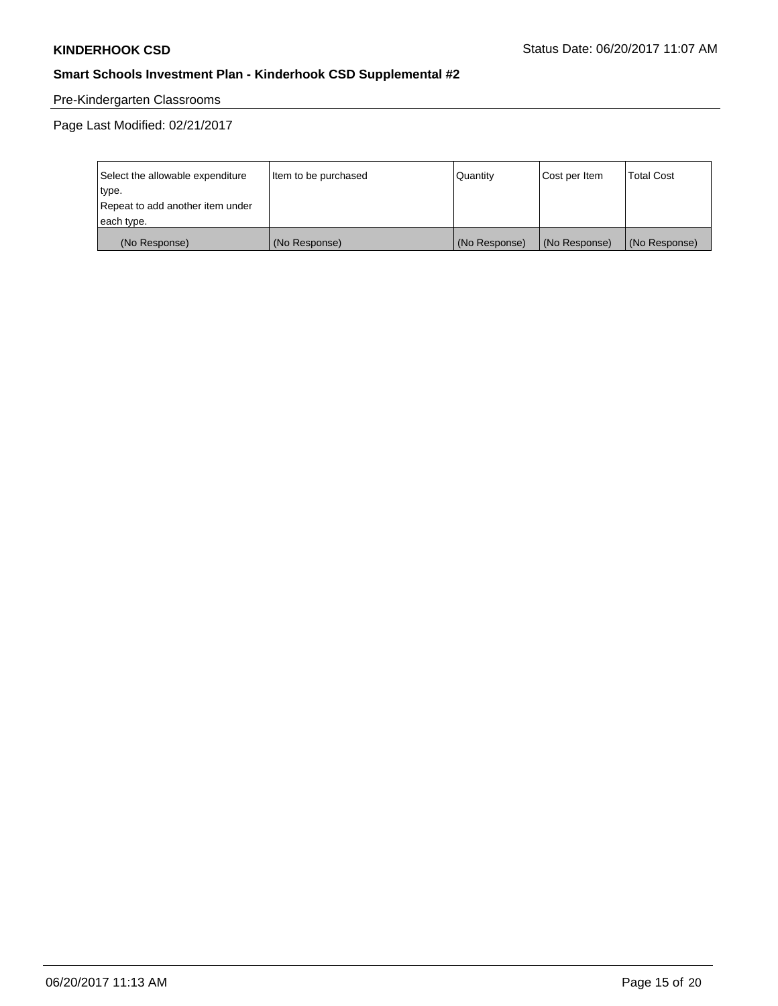# Pre-Kindergarten Classrooms

| Select the allowable expenditure | Item to be purchased | Quantity      | Cost per Item | <b>Total Cost</b> |
|----------------------------------|----------------------|---------------|---------------|-------------------|
| type.                            |                      |               |               |                   |
| Repeat to add another item under |                      |               |               |                   |
| each type.                       |                      |               |               |                   |
| (No Response)                    | (No Response)        | (No Response) | (No Response) | (No Response)     |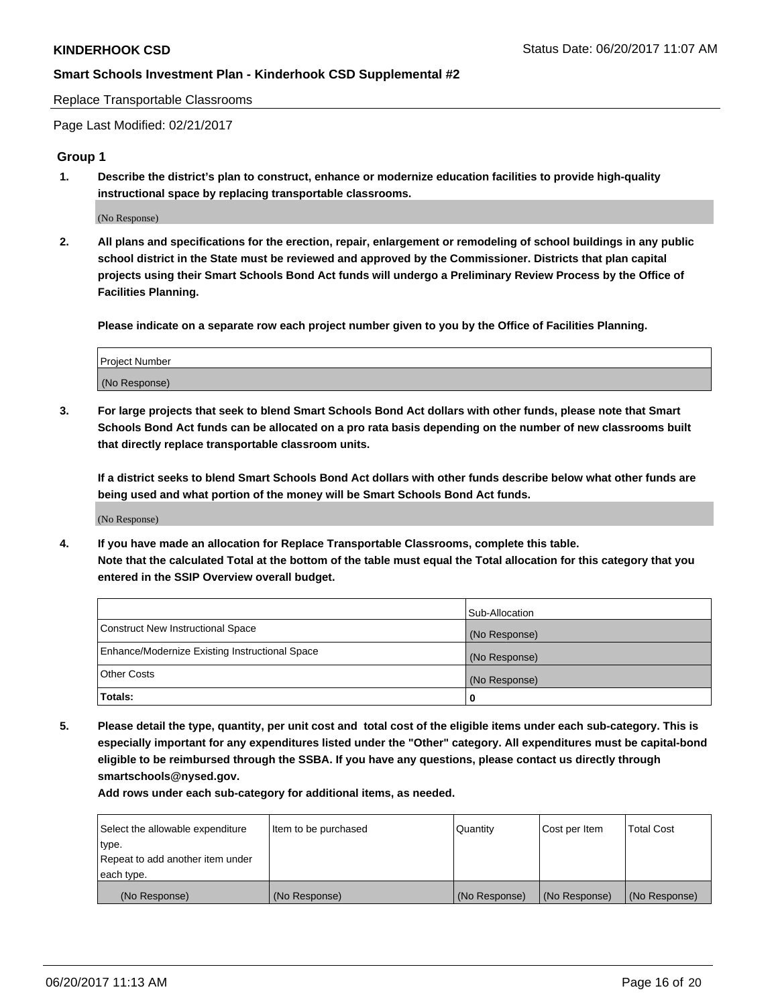Replace Transportable Classrooms

Page Last Modified: 02/21/2017

### **Group 1**

**1. Describe the district's plan to construct, enhance or modernize education facilities to provide high-quality instructional space by replacing transportable classrooms.**

(No Response)

**2. All plans and specifications for the erection, repair, enlargement or remodeling of school buildings in any public school district in the State must be reviewed and approved by the Commissioner. Districts that plan capital projects using their Smart Schools Bond Act funds will undergo a Preliminary Review Process by the Office of Facilities Planning.**

**Please indicate on a separate row each project number given to you by the Office of Facilities Planning.**

| Project Number |  |  |
|----------------|--|--|
| (No Response)  |  |  |

**3. For large projects that seek to blend Smart Schools Bond Act dollars with other funds, please note that Smart Schools Bond Act funds can be allocated on a pro rata basis depending on the number of new classrooms built that directly replace transportable classroom units.**

**If a district seeks to blend Smart Schools Bond Act dollars with other funds describe below what other funds are being used and what portion of the money will be Smart Schools Bond Act funds.**

(No Response)

**4. If you have made an allocation for Replace Transportable Classrooms, complete this table. Note that the calculated Total at the bottom of the table must equal the Total allocation for this category that you entered in the SSIP Overview overall budget.**

|                                                | Sub-Allocation |
|------------------------------------------------|----------------|
| Construct New Instructional Space              | (No Response)  |
| Enhance/Modernize Existing Instructional Space | (No Response)  |
| Other Costs                                    | (No Response)  |
| Totals:                                        | 0              |

**5. Please detail the type, quantity, per unit cost and total cost of the eligible items under each sub-category. This is especially important for any expenditures listed under the "Other" category. All expenditures must be capital-bond eligible to be reimbursed through the SSBA. If you have any questions, please contact us directly through smartschools@nysed.gov.**

| Select the allowable expenditure | Item to be purchased | Quantity      | Cost per Item | <b>Total Cost</b> |
|----------------------------------|----------------------|---------------|---------------|-------------------|
| type.                            |                      |               |               |                   |
| Repeat to add another item under |                      |               |               |                   |
| each type.                       |                      |               |               |                   |
| (No Response)                    | (No Response)        | (No Response) | (No Response) | (No Response)     |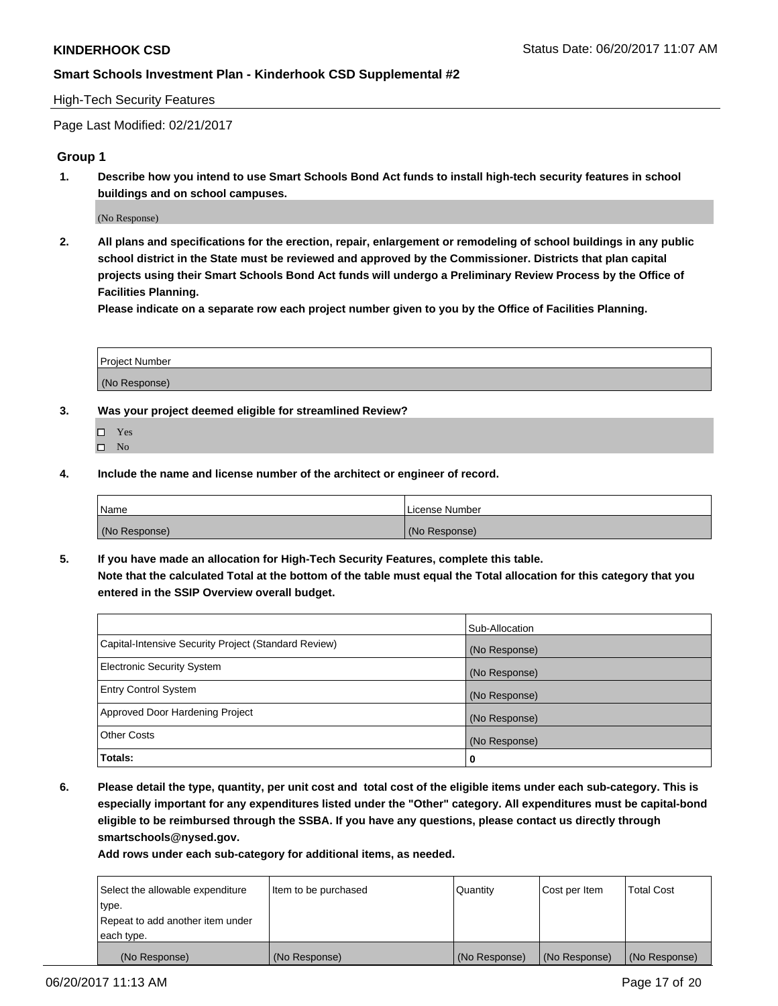### High-Tech Security Features

Page Last Modified: 02/21/2017

### **Group 1**

**1. Describe how you intend to use Smart Schools Bond Act funds to install high-tech security features in school buildings and on school campuses.**

(No Response)

**2. All plans and specifications for the erection, repair, enlargement or remodeling of school buildings in any public school district in the State must be reviewed and approved by the Commissioner. Districts that plan capital projects using their Smart Schools Bond Act funds will undergo a Preliminary Review Process by the Office of Facilities Planning.** 

**Please indicate on a separate row each project number given to you by the Office of Facilities Planning.**

| Project Number |  |
|----------------|--|
|                |  |
| (No Response)  |  |

- **3. Was your project deemed eligible for streamlined Review?**
	- Yes  $\hfill \square$  No
- **4. Include the name and license number of the architect or engineer of record.**

| Name          | License Number |
|---------------|----------------|
| (No Response) | (No Response)  |

**5. If you have made an allocation for High-Tech Security Features, complete this table. Note that the calculated Total at the bottom of the table must equal the Total allocation for this category that you entered in the SSIP Overview overall budget.**

|                                                      | Sub-Allocation |
|------------------------------------------------------|----------------|
| Capital-Intensive Security Project (Standard Review) | (No Response)  |
| Electronic Security System                           | (No Response)  |
| <b>Entry Control System</b>                          | (No Response)  |
| Approved Door Hardening Project                      | (No Response)  |
| <b>Other Costs</b>                                   | (No Response)  |
| Totals:                                              | 0              |

**6. Please detail the type, quantity, per unit cost and total cost of the eligible items under each sub-category. This is especially important for any expenditures listed under the "Other" category. All expenditures must be capital-bond eligible to be reimbursed through the SSBA. If you have any questions, please contact us directly through smartschools@nysed.gov.**

| Select the allowable expenditure | Item to be purchased | Quantity      | Cost per Item | <b>Total Cost</b> |
|----------------------------------|----------------------|---------------|---------------|-------------------|
| type.                            |                      |               |               |                   |
| Repeat to add another item under |                      |               |               |                   |
| each type.                       |                      |               |               |                   |
| (No Response)                    | (No Response)        | (No Response) | (No Response) | (No Response)     |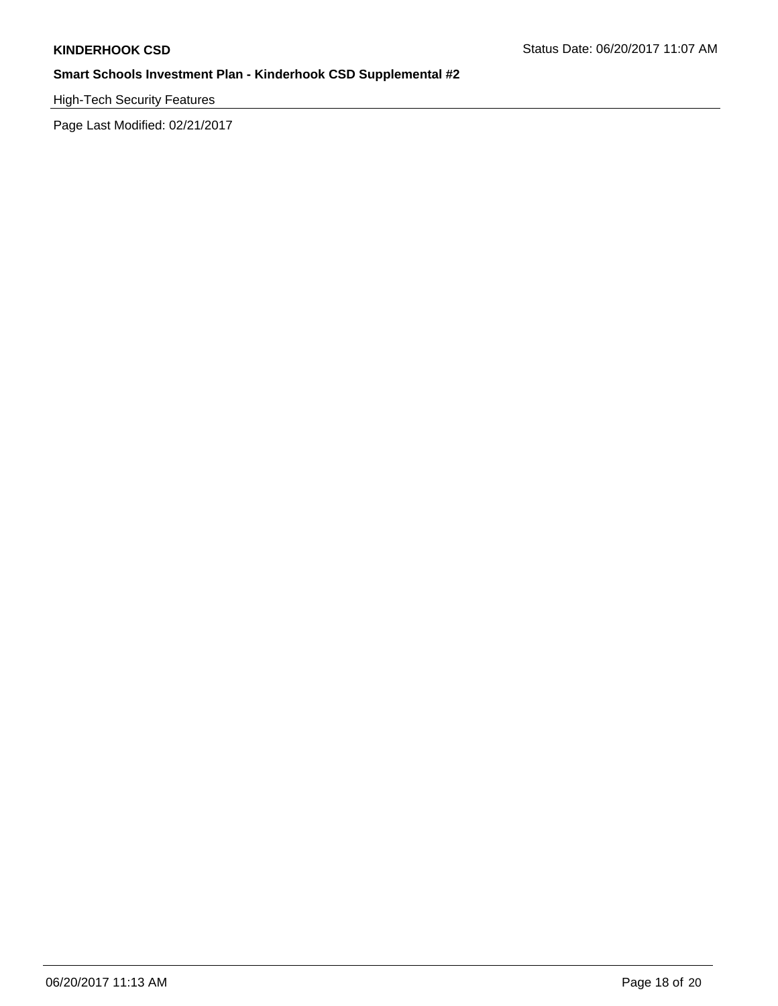High-Tech Security Features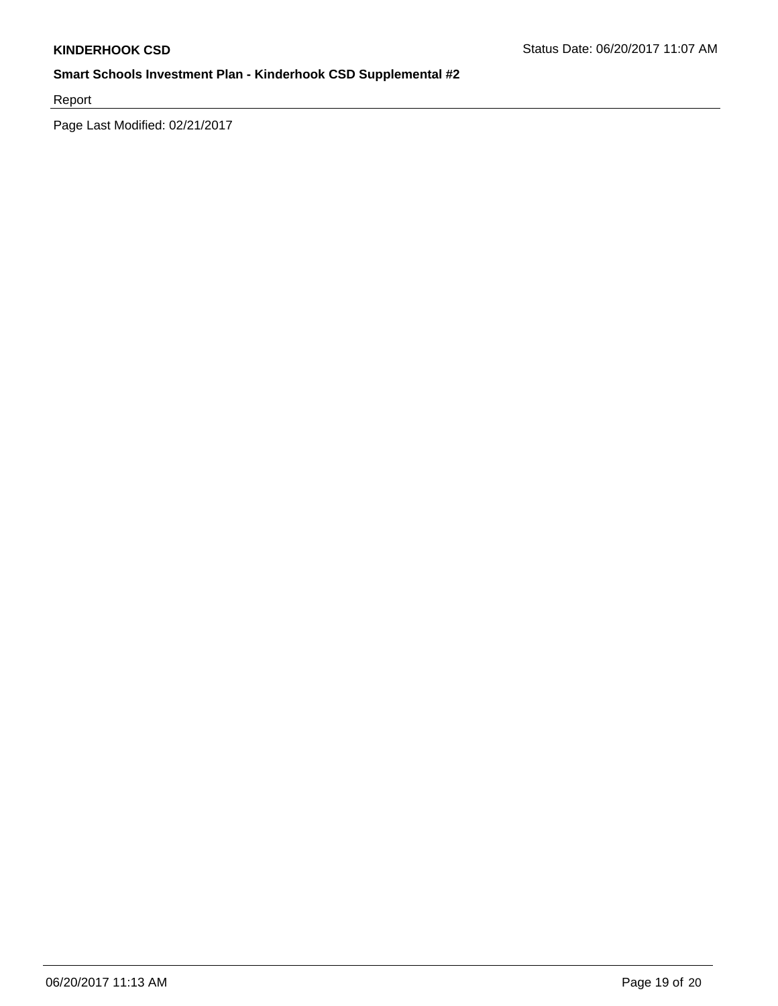Report